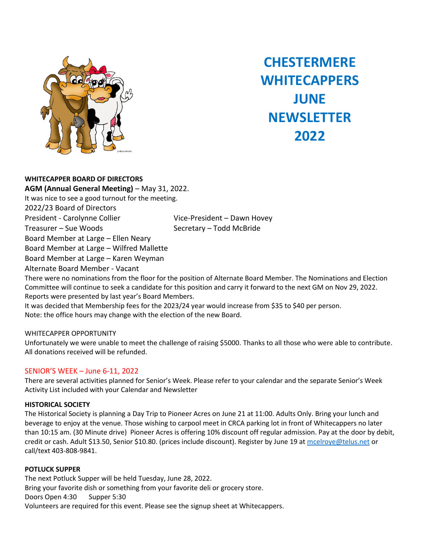

# **CHESTERMERE WHITECAPPERS JUNE NEWSLETTER 2022**

**WHITECAPPER BOARD OF DIRECTORS AGM (Annual General Meeting)** – May 31, 2022. It was nice to see a good turnout for the meeting. 2022/23 Board of Directors President - Carolynne Collier Vice-President – Dawn Hovey Treasurer – Sue Woods Secretary – Todd McBride Board Member at Large – Ellen Neary Board Member at Large – Wilfred Mallette Board Member at Large – Karen Weyman Alternate Board Member - Vacant

There were no nominations from the floor for the position of Alternate Board Member. The Nominations and Election Committee will continue to seek a candidate for this position and carry it forward to the next GM on Nov 29, 2022. Reports were presented by last year's Board Members.

It was decided that Membership fees for the 2023/24 year would increase from \$35 to \$40 per person. Note: the office hours may change with the election of the new Board.

# WHITECAPPER OPPORTUNITY

Unfortunately we were unable to meet the challenge of raising \$5000. Thanks to all those who were able to contribute. All donations received will be refunded.

# SENIOR'S WEEK – June 6-11, 2022

There are several activities planned for Senior's Week. Please refer to your calendar and the separate Senior's Week Activity List included with your Calendar and Newsletter

### **HISTORICAL SOCIETY**

The Historical Society is planning a Day Trip to Pioneer Acres on June 21 at 11:00. Adults Only. Bring your lunch and beverage to enjoy at the venue. Those wishing to carpool meet in CRCA parking lot in front of Whitecappers no later than 10:15 am. (30 Minute drive) Pioneer Acres is offering 10% discount off regular admission. Pay at the door by debit, credit or cash. Adult \$13.50, Senior \$10.80. (prices include discount). Register by June 19 at mcelroye@telus.net or call/text 403-808-9841.

### **POTLUCK SUPPER**

The next Potluck Supper will be held Tuesday, June 28, 2022. Bring your favorite dish or something from your favorite deli or grocery store. Doors Open 4:30 Supper 5:30 Volunteers are required for this event. Please see the signup sheet at Whitecappers.